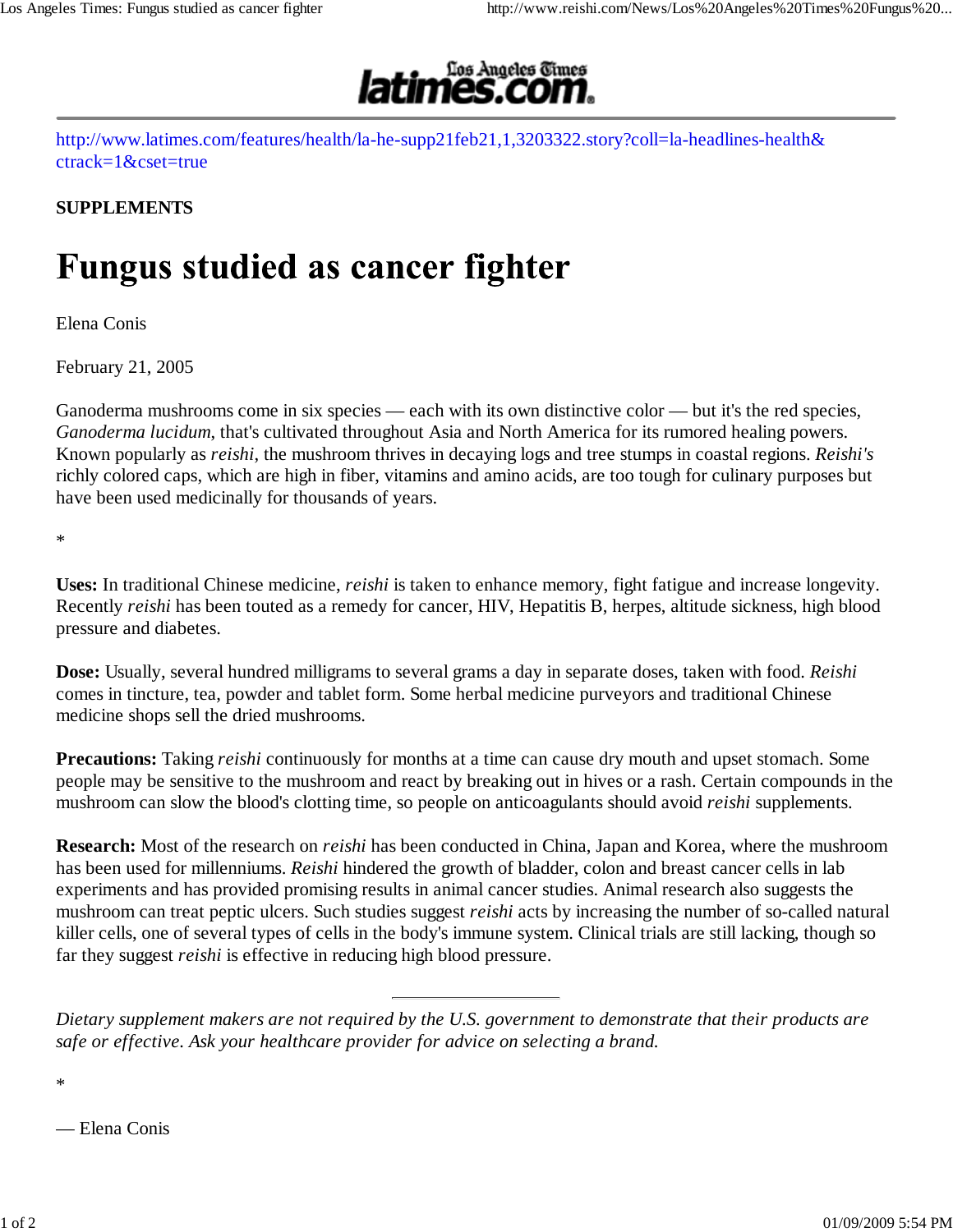

http://www.latimes.com/features/health/la-he-supp21feb21,1,3203322.story?coll=la-headlines-health& ctrack=1&cset=true

## **SUPPLEMENTS**

## **Fungus studied as cancer fighter**

Elena Conis

February 21, 2005

Ganoderma mushrooms come in six species — each with its own distinctive color — but it's the red species, *Ganoderma lucidum*, that's cultivated throughout Asia and North America for its rumored healing powers. Known popularly as *reishi*, the mushroom thrives in decaying logs and tree stumps in coastal regions. *Reishi's* richly colored caps, which are high in fiber, vitamins and amino acids, are too tough for culinary purposes but have been used medicinally for thousands of years.

\*

**Uses:** In traditional Chinese medicine, *reishi* is taken to enhance memory, fight fatigue and increase longevity. Recently *reishi* has been touted as a remedy for cancer, HIV, Hepatitis B, herpes, altitude sickness, high blood pressure and diabetes.

**Dose:** Usually, several hundred milligrams to several grams a day in separate doses, taken with food. *Reishi* comes in tincture, tea, powder and tablet form. Some herbal medicine purveyors and traditional Chinese medicine shops sell the dried mushrooms.

**Precautions:** Taking *reishi* continuously for months at a time can cause dry mouth and upset stomach. Some people may be sensitive to the mushroom and react by breaking out in hives or a rash. Certain compounds in the mushroom can slow the blood's clotting time, so people on anticoagulants should avoid *reishi* supplements.

**Research:** Most of the research on *reishi* has been conducted in China, Japan and Korea, where the mushroom has been used for millenniums. *Reishi* hindered the growth of bladder, colon and breast cancer cells in lab experiments and has provided promising results in animal cancer studies. Animal research also suggests the mushroom can treat peptic ulcers. Such studies suggest *reishi* acts by increasing the number of so-called natural killer cells, one of several types of cells in the body's immune system. Clinical trials are still lacking, though so far they suggest *reishi* is effective in reducing high blood pressure.

*Dietary supplement makers are not required by the U.S. government to demonstrate that their products are safe or effective. Ask your healthcare provider for advice on selecting a brand.*

\*

— Elena Conis